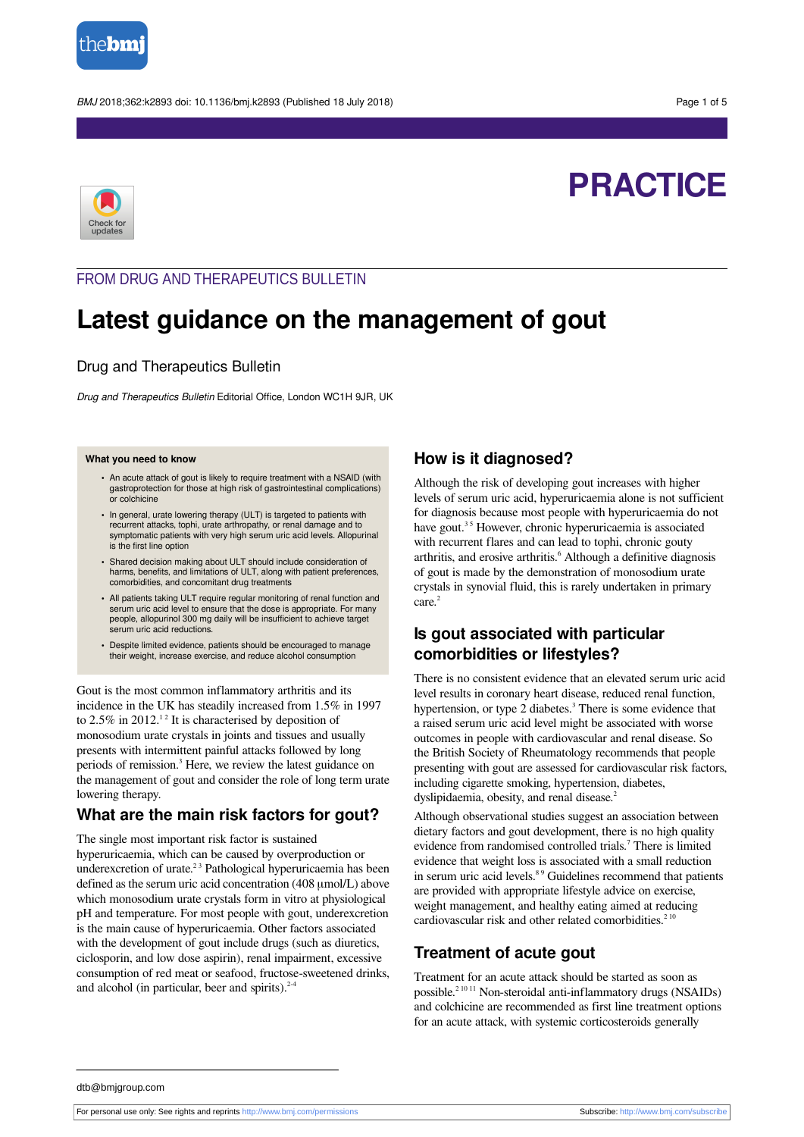

BMJ 2018;362:k2893 doi: 10.1136/bmj.k2893 (Published 18 July 2018) end to the control of 5



# **PRACTICE**

### FROM DRUG AND THERAPEUTICS BULLETIN

## **Latest guidance on the management of gout**

#### Drug and Therapeutics Bulletin

Drug and Therapeutics Bulletin Editorial Office, London WC1H 9JR, UK

#### **What you need to know**

- **•** An acute attack of gout is likely to require treatment with a NSAID (with gastroprotection for those at high risk of gastrointestinal complications) or colchicine
- **•** In general, urate lowering therapy (ULT) is targeted to patients with recurrent attacks, tophi, urate arthropathy, or renal damage and to symptomatic patients with very high serum uric acid levels. Allopurinal is the first line option
- **•** Shared decision making about ULT should include consideration of harms, benefits, and limitations of ULT, along with patient preferences, comorbidities, and concomitant drug treatments
- **•** All patients taking ULT require regular monitoring of renal function and serum uric acid level to ensure that the dose is appropriate. For many people, allopurinol 300 mg daily will be insufficient to achieve target serum uric acid reductions.
- **•** Despite limited evidence, patients should be encouraged to manage their weight, increase exercise, and reduce alcohol consumption

Gout is the most common inflammatory arthritis and its incidence in the UK has steadily increased from 1.5% in 1997 to 2.5% in 2012.<sup>12</sup> It is characterised by deposition of monosodium urate crystals in joints and tissues and usually presents with intermittent painful attacks followed by long periods of remission. 3 Here, we review the latest guidance on the management of gout and consider the role of long term urate lowering therapy.

### **What are the main risk factors for gout?**

The single most important risk factor is sustained hyperuricaemia, which can be caused by overproduction or underexcretion of urate.<sup>23</sup> Pathological hyperuricaemia has been defined as the serum uric acid concentration (408 μmol/L) above which monosodium urate crystals form in vitro at physiological pH and temperature. For most people with gout, underexcretion is the main cause of hyperuricaemia. Other factors associated with the development of gout include drugs (such as diuretics, ciclosporin, and low dose aspirin), renal impairment, excessive consumption of red meat or seafood, fructose-sweetened drinks, and alcohol (in particular, beer and spirits). $2-4$ 

#### **How is it diagnosed?**

Although the risk of developing gout increases with higher levels of serum uric acid, hyperuricaemia alone is not sufficient for diagnosis because most people with hyperuricaemia do not have gout.<sup>35</sup> However, chronic hyperuricaemia is associated with recurrent flares and can lead to tophi, chronic gouty arthritis, and erosive arthritis. 6 Although a definitive diagnosis of gout is made by the demonstration of monosodium urate crystals in synovial fluid, this is rarely undertaken in primary care. 2

### **Is gout associated with particular comorbidities or lifestyles?**

There is no consistent evidence that an elevated serum uric acid level results in coronary heart disease, reduced renal function, hypertension, or type 2 diabetes.<sup>3</sup> There is some evidence that a raised serum uric acid level might be associated with worse outcomes in people with cardiovascular and renal disease. So the British Society of Rheumatology recommends that people presenting with gout are assessed for cardiovascular risk factors, including cigarette smoking, hypertension, diabetes, dyslipidaemia, obesity, and renal disease.<sup>2</sup>

Although observational studies suggest an association between dietary factors and gout development, there is no high quality evidence from randomised controlled trials. 7 There is limited evidence that weight loss is associated with a small reduction in serum uric acid levels.<sup>89</sup> Guidelines recommend that patients are provided with appropriate lifestyle advice on exercise, weight management, and healthy eating aimed at reducing cardiovascular risk and other related comorbidities.<sup>210</sup>

### **Treatment of acute gout**

Treatment for an acute attack should be started as soon as possible.<sup>21011</sup> Non-steroidal anti-inflammatory drugs (NSAIDs) and colchicine are recommended as first line treatment options for an acute attack, with systemic corticosteroids generally

dtb@bmjgroup.com

For personal use only: See rights and reprints<http://www.bmj.com/permissions> Subscribe: <http://www.bmj.com/subscribe>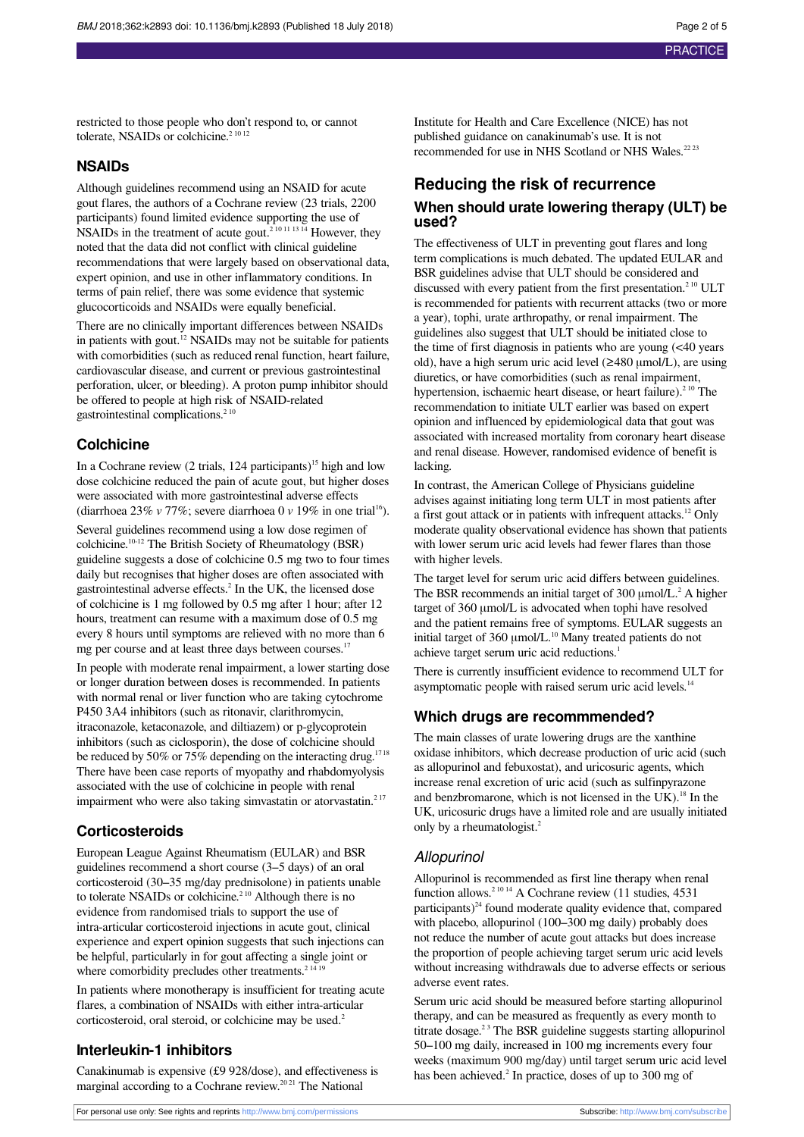restricted to those people who don't respond to, or cannot tolerate, NSAIDs or colchicine.<sup>2 10 12</sup>

#### **NSAIDs**

Although guidelines recommend using an NSAID for acute gout flares, the authors of a Cochrane review (23 trials, 2200 participants) found limited evidence supporting the use of NSAIDs in the treatment of acute gout.<sup>210111314</sup> However, they noted that the data did not conflict with clinical guideline recommendations that were largely based on observational data, expert opinion, and use in other inflammatory conditions. In terms of pain relief, there was some evidence that systemic glucocorticoids and NSAIDs were equally beneficial.

There are no clinically important differences between NSAIDs in patients with gout.<sup>12</sup> NSAIDs may not be suitable for patients with comorbidities (such as reduced renal function, heart failure, cardiovascular disease, and current or previous gastrointestinal perforation, ulcer, or bleeding). A proton pump inhibitor should be offered to people at high risk of NSAID-related gastrointestinal complications.<sup>210</sup>

#### **Colchicine**

In a Cochrane review (2 trials,  $124$  participants)<sup>15</sup> high and low dose colchicine reduced the pain of acute gout, but higher doses were associated with more gastrointestinal adverse effects (diarrhoea 23% *v* 77%; severe diarrhoea 0 *v* 19% in one trial <sup>16</sup>). Several guidelines recommend using a low dose regimen of colchicine. 10-12 The British Society of Rheumatology (BSR) guideline suggests a dose of colchicine 0.5 mg two to four times daily but recognises that higher doses are often associated with gastrointestinal adverse effects. 2 In the UK, the licensed dose of colchicine is 1 mg followed by 0.5 mg after 1 hour; after 12 hours, treatment can resume with a maximum dose of 0.5 mg every 8 hours until symptoms are relieved with no more than 6 mg per course and at least three days between courses.<sup>17</sup>

In people with moderate renal impairment, a lower starting dose or longer duration between doses is recommended. In patients with normal renal or liver function who are taking cytochrome P450 3A4 inhibitors (such as ritonavir, clarithromycin, itraconazole, ketaconazole, and diltiazem) or p-glycoprotein inhibitors (such as ciclosporin), the dose of colchicine should be reduced by 50% or 75% depending on the interacting drug.<sup>1718</sup> There have been case reports of myopathy and rhabdomyolysis associated with the use of colchicine in people with renal impairment who were also taking simvastatin or atorvastatin.<sup>217</sup>

#### **Corticosteroids**

European League Against Rheumatism (EULAR) and BSR guidelines recommend a short course (3–5 days) of an oral corticosteroid (30–35 mg/day prednisolone) in patients unable to tolerate NSAIDs or colchicine.<sup>210</sup> Although there is no evidence from randomised trials to support the use of intra-articular corticosteroid injections in acute gout, clinical experience and expert opinion suggests that such injections can be helpful, particularly in for gout affecting a single joint or where comorbidity precludes other treatments.<sup>2 14 19</sup>

In patients where monotherapy is insufficient for treating acute flares, a combination of NSAIDs with either intra-articular corticosteroid, oral steroid, or colchicine may be used.<sup>2</sup>

#### **Interleukin-1 inhibitors**

Canakinumab is expensive (£9 928/dose), and effectiveness is marginal according to a Cochrane review.<sup>2021</sup> The National

Institute for Health and Care Excellence (NICE) has not published guidance on canakinumab's use. It is not recommended for use in NHS Scotland or NHS Wales.<sup>22 23</sup>

# **Reducing the risk of recurrence**

#### **When should urate lowering therapy (ULT) be used?**

The effectiveness of ULT in preventing gout flares and long term complications is much debated. The updated EULAR and BSR guidelines advise that ULT should be considered and discussed with every patient from the first presentation.<sup>210</sup> ULT is recommended for patients with recurrent attacks (two or more a year), tophi, urate arthropathy, or renal impairment. The guidelines also suggest that ULT should be initiated close to the time of first diagnosis in patients who are young (<40 years old), have a high serum uric acid level (≥480 μmol/L), are using diuretics, or have comorbidities (such as renal impairment, hypertension, ischaemic heart disease, or heart failure). $2^{10}$  The recommendation to initiate ULT earlier was based on expert opinion and influenced by epidemiological data that gout was associated with increased mortality from coronary heart disease and renal disease. However, randomised evidence of benefit is lacking.

In contrast, the American College of Physicians guideline advises against initiating long term ULT in most patients after a first gout attack or in patients with infrequent attacks.<sup>12</sup> Only moderate quality observational evidence has shown that patients with lower serum uric acid levels had fewer flares than those with higher levels.

The target level for serum uric acid differs between guidelines. The BSR recommends an initial target of  $300 \mu$ mol/L.<sup>2</sup> A higher target of 360 μmol/L is advocated when tophi have resolved and the patient remains free of symptoms. EULAR suggests an initial target of 360 μmol/L.<sup>10</sup> Many treated patients do not achieve target serum uric acid reductions. 1

There is currently insufficient evidence to recommend ULT for asymptomatic people with raised serum uric acid levels.<sup>14</sup>

#### **Which drugs are recommmended?**

The main classes of urate lowering drugs are the xanthine oxidase inhibitors, which decrease production of uric acid (such as allopurinol and febuxostat), and uricosuric agents, which increase renal excretion of uric acid (such as sulfinpyrazone and benzbromarone, which is not licensed in the UK).<sup>18</sup> In the UK, uricosuric drugs have a limited role and are usually initiated only by a rheumatologist.<sup>2</sup>

#### Allopurinol

Allopurinol is recommended as first line therapy when renal function allows.<sup>2 10 14</sup> A Cochrane review (11 studies, 4531) participants) $^{24}$  found moderate quality evidence that, compared with placebo, allopurinol (100–300 mg daily) probably does not reduce the number of acute gout attacks but does increase the proportion of people achieving target serum uric acid levels without increasing withdrawals due to adverse effects or serious adverse event rates.

Serum uric acid should be measured before starting allopurinol therapy, and can be measured as frequently as every month to titrate dosage.<sup>23</sup> The BSR guideline suggests starting allopurinol 50–100 mg daily, increased in 100 mg increments every four weeks (maximum 900 mg/day) until target serum uric acid level has been achieved.<sup>2</sup> In practice, doses of up to 300 mg of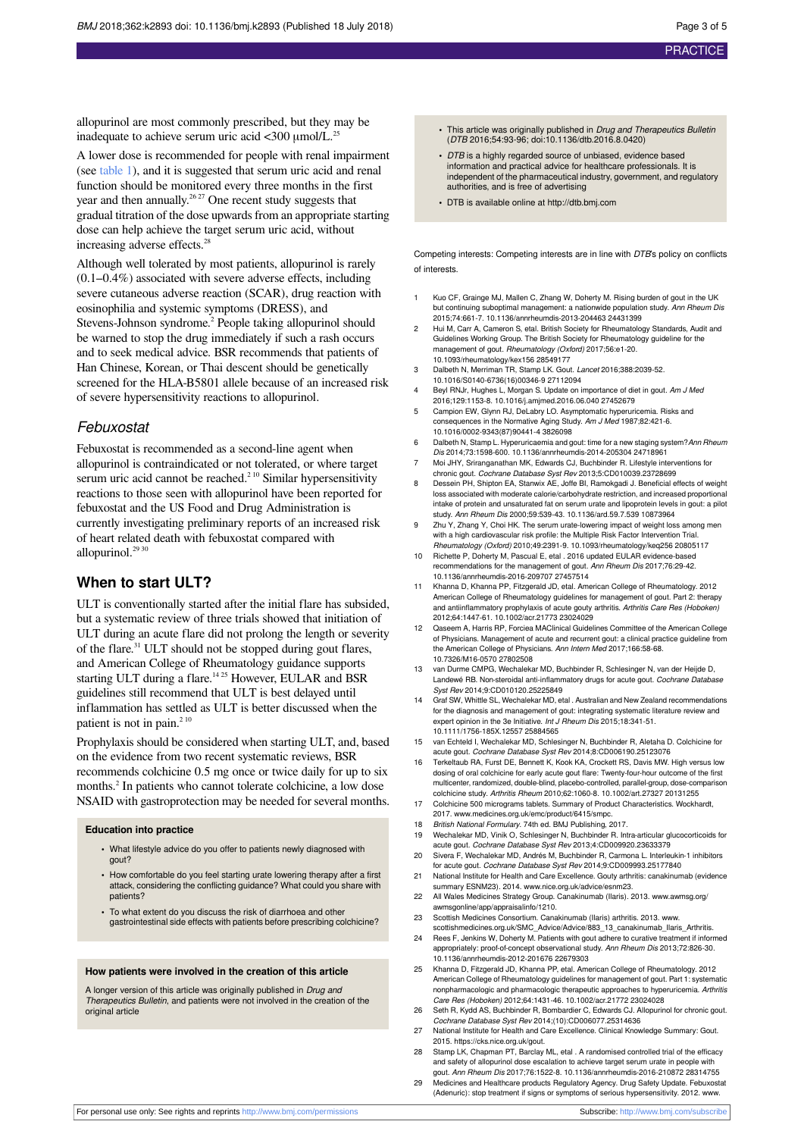allopurinol are most commonly prescribed, but they may be inadequate to achieve serum uric acid  $\langle 300 \text{ \mu mol/L.}^{25} \rangle$ 

A lower dose is recommended for people with renal impairment (see [table 1](#page-4-0)), and it is suggested that serum uric acid and renal function should be monitored every three months in the first year and then annually.<sup>26,27</sup> One recent study suggests that gradual titration of the dose upwards from an appropriate starting dose can help achieve the target serum uric acid, without increasing adverse effects. 28

Although well tolerated by most patients, allopurinol is rarely (0.1–0.4%) associated with severe adverse effects, including severe cutaneous adverse reaction (SCAR), drug reaction with eosinophilia and systemic symptoms (DRESS), and Stevens-Johnson syndrome. 2 People taking allopurinol should be warned to stop the drug immediately if such a rash occurs and to seek medical advice. BSR recommends that patients of Han Chinese, Korean, or Thai descent should be genetically screened for the HLA-B5801 allele because of an increased risk of severe hypersensitivity reactions to allopurinol.

#### Febuxostat

Febuxostat is recommended as a second-line agent when allopurinol is contraindicated or not tolerated, or where target serum uric acid cannot be reached.<sup>210</sup> Similar hypersensitivity reactions to those seen with allopurinol have been reported for febuxostat and the US Food and Drug Administration is currently investigating preliminary reports of an increased risk of heart related death with febuxostat compared with allopurinol.<sup>29 30</sup>

#### **When to start ULT?**

ULT is conventionally started after the initial flare has subsided, but a systematic review of three trials showed that initiation of ULT during an acute flare did not prolong the length or severity of the flare. <sup>31</sup> ULT should not be stopped during gout flares, and American College of Rheumatology guidance supports starting ULT during a flare.<sup>1425</sup> However, EULAR and BSR guidelines still recommend that ULT is best delayed until inflammation has settled as ULT is better discussed when the patient is not in pain.<sup>2 10</sup>

Prophylaxis should be considered when starting ULT, and, based on the evidence from two recent systematic reviews, BSR recommends colchicine 0.5 mg once or twice daily for up to six months. 2 In patients who cannot tolerate colchicine, a low dose NSAID with gastroprotection may be needed for several months.

#### **Education into practice**

- **•** What lifestyle advice do you offer to patients newly diagnosed with gout?
- **•** How comfortable do you feel starting urate lowering therapy after a first attack, considering the conflicting guidance? What could you share with patients?
- **•** To what extent do you discuss the risk of diarrhoea and other gastrointestinal side effects with patients before prescribing colchicine?

#### **How patients were involved in the creation of this article**

A longer version of this article was originally published in Drug and Therapeutics Bulletin, and patients were not involved in the creation of the original article

- **•** This article was originally published in Drug and Therapeutics Bulletin (DTB 2016;54:93-96; doi:10.1136/dtb.2016.8.0420)
- **•** DTB is a highly regarded source of unbiased, evidence based information and practical advice for healthcare professionals. It is independent of the pharmaceutical industry, government, and regulatory authorities, and is free of advertising
- **•** DTB is available online at <http://dtb.bmj.com>

Competing interests: Competing interests are in line with DTB's policy on conflicts of interests.

- 1 Kuo CF, Grainge MJ, Mallen C, Zhang W, Doherty M. Rising burden of gout in the UK but continuing suboptimal management: a nationwide population study. Ann Rheum Dis 2015;74:661-7. 10.1136/annrheumdis-2013-204463 24431399
- 2 Hui M, Carr A, Cameron S, etal. British Society for Rheumatology Standards, Audit and Guidelines Working Group. The British Society for Rheumatology guideline for the management of gout. Rheumatology (Oxford) 2017;56:e1-20. 10.1093/rheumatology/kex156 28549177
- 3 Dalbeth N, Merriman TR, Stamp LK. Gout. Lancet 2016;388:2039-52. 10.1016/S0140-6736(16)00346-9 27112094
- Beyl RNJr, Hughes L, Morgan S. Update on importance of diet in gout. Am J Med 2016;129:1153-8. 10.1016/j.amjmed.2016.06.040 27452679
- 5 Campion EW, Glynn RJ, DeLabry LO. Asymptomatic hyperuricemia. Risks and consequences in the Normative Aging Study. Am J Med 1987;82:421-6. 10.1016/0002-9343(87)90441-4 3826098
- 6 Dalbeth N, Stamp L. Hyperuricaemia and gout: time for a new staging system?Ann Rheum Dis 2014;73:1598-600. 10.1136/annrheumdis-2014-205304 24718961
- 7 Moi JHY, Sriranganathan MK, Edwards CJ, Buchbinder R. Lifestyle interventions for chronic gout. Cochrane Database Syst Rev 2013;5:CD010039.23728699
- 8 Dessein PH, Shipton EA, Stanwix AE, Joffe BI, Ramokgadi J. Beneficial effects of weight loss associated with moderate calorie/carbohydrate restriction, and increased proportional intake of protein and unsaturated fat on serum urate and lipoprotein levels in gout: a pilot study. Ann Rheum Dis 2000;59:539-43. 10.1136/ard.59.7.539 10873964
- 9 Zhu Y, Zhang Y, Choi HK. The serum urate-lowering impact of weight loss among men with a high cardiovascular risk profile: the Multiple Risk Factor Intervention Trial. Rheumatology (Oxford) 2010;49:2391-9. 10.1093/rheumatology/keq256 20805117
- 10 Richette P, Doherty M, Pascual E, etal . 2016 updated EULAR evidence-based recommendations for the management of gout. Ann Rheum Dis 2017;76:29-42. 10.1136/annrheumdis-2016-209707 27457514
- 11 Khanna D, Khanna PP, Fitzgerald JD, etal. American College of Rheumatology. 2012 American College of Rheumatology guidelines for management of gout. Part 2: therapy and antiinflammatory prophylaxis of acute gouty arthritis. Arthritis Care Res (Hoboken) 2012;64:1447-61. 10.1002/acr.21773 23024029
- 12 Qaseem A, Harris RP, Forciea MAClinical Guidelines Committee of the American College of Physicians. Management of acute and recurrent gout: a clinical practice guideline from the American College of Physicians. Ann Intern Med 2017;166:58-68. 10.7326/M16-0570 27802508
- 13 van Durme CMPG, Wechalekar MD, Buchbinder R, Schlesinger N, van der Heijde D, Landewé RB. Non-steroidal anti-inflammatory drugs for acute gout. Cochrane Database Syst Rev 2014;9:CD010120.25225849
- Graf SW, Whittle SL, Wechalekar MD, etal . Australian and New Zealand recommendations for the diagnosis and management of gout: integrating systematic literature review and expert opinion in the 3e Initiative. Int J Rheum Dis 2015;18:341-51. 10.1111/1756-185X.12557 25884565
- 15 van Echteld I, Wechalekar MD, Schlesinger N, Buchbinder R, Aletaha D. Colchicine for acute gout. Cochrane Database Syst Rev 2014;8:CD006190.25123076
- 16 Terkeltaub RA, Furst DE, Bennett K, Kook KA, Crockett RS, Davis MW. High versus low dosing of oral colchicine for early acute gout flare: Twenty-four-hour outcome of the first multicenter, randomized, double-blind, placebo-controlled, parallel-group, dose-comparison colchicine study. Arthritis Rheum 2010;62:1060-8. 10.1002/art.27327 20131255
- 17 Colchicine 500 micrograms tablets. Summary of Product Characteristics. Wockhardt 2017. [www.medicines.org.uk/emc/product/6415/smpc.](http://www.medicines.org.uk/emc/product/6415/smpc)
- 18 British National Formulary. 74th ed. BMJ Publishing, 2017.
- 19 Wechalekar MD, Vinik O, Schlesinger N, Buchbinder R. Intra-articular glucocorticoids for acute gout. Cochrane Database Syst Rev 2013;4:CD009920.23633379
- 20 Sivera F, Wechalekar MD, Andrés M, Buchbinder R, Carmona L. Interleukin-1 inhibitors for acute gout. Cochrane Database Syst Rev 2014;9:CD009993.25177840 21 National Institute for Health and Care Excellence. Gouty arthritis: canakinumab (evidence
- summary ESNM23). 2014. [www.nice.org.uk/advice/esnm23](http://www.nice.org.uk/advice/esnm23). 22 All Wales Medicines Strategy Group. Canakinumab (Ilaris). 2013. [www.awmsg.org/](http://www.awmsg.org/awmsgonline/app/appraisalinfo/1210)
- [awmsgonline/app/appraisalinfo/1210](http://www.awmsg.org/awmsgonline/app/appraisalinfo/1210).
- 23 Scottish Medicines Consortium. Canakinumab (Ilaris) arthritis. 2013. [www.](http://www.scottishmedicines.org.uk/SMC_Advice/Advice/883_13_canakinumab_Ilaris_Arthritis) [scottishmedicines.org.uk/SMC\\_Advice/Advice/883\\_13\\_canakinumab\\_Ilaris\\_Arthritis](http://www.scottishmedicines.org.uk/SMC_Advice/Advice/883_13_canakinumab_Ilaris_Arthritis).
- 24 Rees F, Jenkins W, Doherty M. Patients with gout adhere to curative treatment if informed appropriately: proof-of-concept observational study. Ann Rheum Dis 2013;72:826-30. 10.1136/annrheumdis-2012-201676 22679303
- 25 Khanna D, Fitzgerald JD, Khanna PP, etal. American College of Rheumatology. 2012 American College of Rheumatology guidelines for management of gout. Part 1: systematic<br>nonpharmacologic and pharmacologic therapeutic approaches to hyperuricemia. Arthritis Care Res (Hoboken) 2012;64:1431-46. 10.1002/acr.21772 23024028
- 26 Seth R, Kydd AS, Buchbinder R, Bombardier C, Edwards CJ. Allopurinol for chronic gout. Cochrane Database Syst Rev 2014;(10):CD006077.25314636
- 27 National Institute for Health and Care Excellence. Clinical Knowledge Summary: Gout. 2015. https://cks.nice.org.uk/gout.
- 28 Stamp LK, Chapman PT, Barclay ML, etal . A randomised controlled trial of the efficacy and safety of allopurinol dose escalation to achieve target serum urate in people with gout. Ann Rheum Dis 2017;76:1522-8. 10.1136/annrheumdis-2016-210872 28314755
- 29 Medicines and Healthcare products Regulatory Agency. Drug Safety Update. Febuxostat (Adenuric): stop treatment if signs or symptoms of serious hypersensitivity, 2012. [www.](http://www.gov.uk/drug-safety-update/febuxostat-adenuric-stop-treatment-if-signs-or-symptoms-of-serious-hypersensitivity)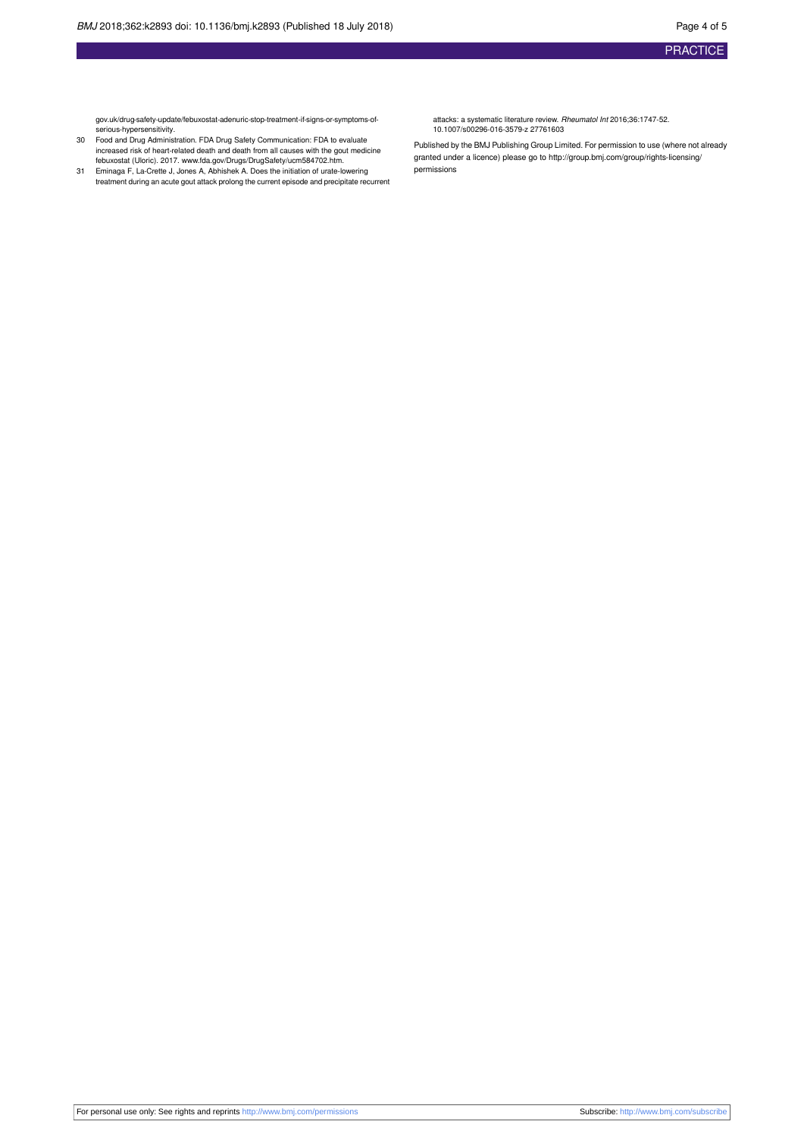[gov.uk/drug-safety-update/febuxostat-adenuric-stop-treatment-if-signs-or-symptoms-of-](http://www.gov.uk/drug-safety-update/febuxostat-adenuric-stop-treatment-if-signs-or-symptoms-of-serious-hypersensitivity)[serious-hypersensitivity](http://www.gov.uk/drug-safety-update/febuxostat-adenuric-stop-treatment-if-signs-or-symptoms-of-serious-hypersensitivity).

- 30 Food and Drug Administration. FDA Drug Safety Communication: FDA to evaluate increased risk of heart-related death and death from all causes with the gout medicine febuxostat (Uloric). 2017. [www.fda.gov/Drugs/DrugSafety/ucm584702.htm](http://www.fda.gov/Drugs/DrugSafety/ucm584702.htm). 31 Eminaga F, La-Crette J, Jones A, Abhishek A. Does the initiation of urate-lowering
- treatment during an acute gout attack prolong the current episode and precipitate recurrent

attacks: a systematic literature review. Rheumatol Int 2016;36:1747-52. 10.1007/s00296-016-3579-z 27761603

Published by the BMJ Publishing Group Limited. For permission to use (where not already granted under a licence) please go to [http://group.bmj.com/group/rights-licensing/](http://group.bmj.com/group/rights-licensing/permissions) [permissions](http://group.bmj.com/group/rights-licensing/permissions)